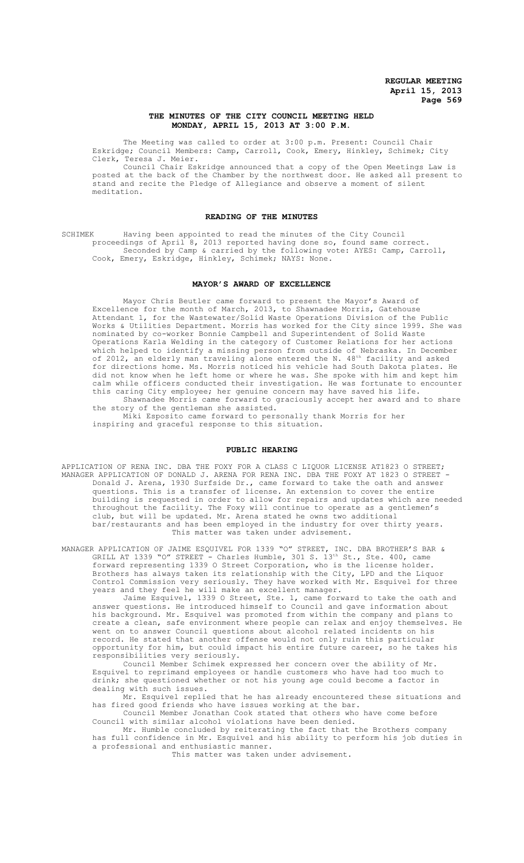## **THE MINUTES OF THE CITY COUNCIL MEETING HELD MONDAY, APRIL 15, 2013 AT 3:00 P.M.**

The Meeting was called to order at 3:00 p.m. Present: Council Chair Eskridge; Council Members: Camp, Carroll, Cook, Emery, Hinkley, Schimek; City Clerk, Teresa J. Meier.

Council Chair Eskridge announced that a copy of the Open Meetings Law is posted at the back of the Chamber by the northwest door. He asked all present to stand and recite the Pledge of Allegiance and observe a moment of silent meditation.

## **READING OF THE MINUTES**

SCHIMEK Having been appointed to read the minutes of the City Council proceedings of April 8, 2013 reported having done so, found same correct. Seconded by Camp & carried by the following vote: AYES: Camp, Carroll, Cook, Emery, Eskridge, Hinkley, Schimek; NAYS: None.

### **MAYOR'S AWARD OF EXCELLENCE**

Mayor Chris Beutler came forward to present the Mayor's Award of Excellence for the month of March, 2013, to Shawnadee Morris, Gatehouse Attendant 1, for the Wastewater/Solid Waste Operations Division of the Public Works & Utilities Department. Morris has worked for the City since 1999. She was nominated by co-worker Bonnie Campbell and Superintendent of Solid Waste Operations Karla Welding in the category of Customer Relations for her actions which helped to identify a missing person from outside of Nebraska. In December of 2012, an elderly man traveling alone entered the N. 48th facility and asked for directions home. Ms. Morris noticed his vehicle had South Dakota plates. He did not know when he left home or where he was. She spoke with him and kept him calm while officers conducted their investigation. He was fortunate to encounter this caring City employee; her genuine concern may have saved his life. Shawnadee Morris came forward to graciously accept her award and to share

the story of the gentleman she assisted.

Miki Esposito came forward to personally thank Morris for her inspiring and graceful response to this situation.

### **PUBLIC HEARING**

APPLICATION OF RENA INC. DBA THE FOXY FOR A CLASS C LIQUOR LICENSE AT1823 O STREET; MANAGER APPLICATION OF DONALD J. ARENA FOR RENA INC. DBA THE FOXY AT 1823 O STREET - Donald J. Arena, 1930 Surfside Dr., came forward to take the oath and answer questions. This is a transfer of license. An extension to cover the entire building is requested in order to allow for repairs and updates which are needed throughout the facility. The Foxy will continue to operate as a gentlemen's club, but will be updated. Mr. Arena stated he owns two additional bar/restaurants and has been employed in the industry for over thirty years. This matter was taken under advisement.

MANAGER APPLICATION OF JAIME ESQUIVEL FOR 1339 "O" STREET, INC. DBA BROTHER'S BAR & GRILL AT 1339 "O" STREET - Charles Humble, 301 S.  $13<sup>th</sup>$  St., Ste. 400, came forward representing 1339 O Street Corporation, who is the license holder. Brothers has always taken its relationship with the City, LPD and the Liquor Control Commission very seriously. They have worked with Mr. Esquivel for three years and they feel he will make an excellent manager.

Jaime Esquivel, 1339 O Street, Ste. 1, came forward to take the oath and answer questions. He introduced himself to Council and gave information about his background. Mr. Esquivel was promoted from within the company and plans to create a clean, safe environment where people can relax and enjoy themselves. He went on to answer Council questions about alcohol related incidents on his record. He stated that another offense would not only ruin this particular opportunity for him, but could impact his entire future career, so he takes his responsibilities very seriously.

Council Member Schimek expressed her concern over the ability of Mr. Esquivel to reprimand employees or handle customers who have had too much to drink; she questioned whether or not his young age could become a factor in dealing with such issues.

Mr. Esquivel replied that he has already encountered these situations and has fired good friends who have issues working at the bar.

Council Member Jonathan Cook stated that others who have come before Council with similar alcohol violations have been denied.

Mr. Humble concluded by reiterating the fact that the Brothers company has full confidence in Mr. Esquivel and his ability to perform his job duties in a professional and enthusiastic manner.

This matter was taken under advisement.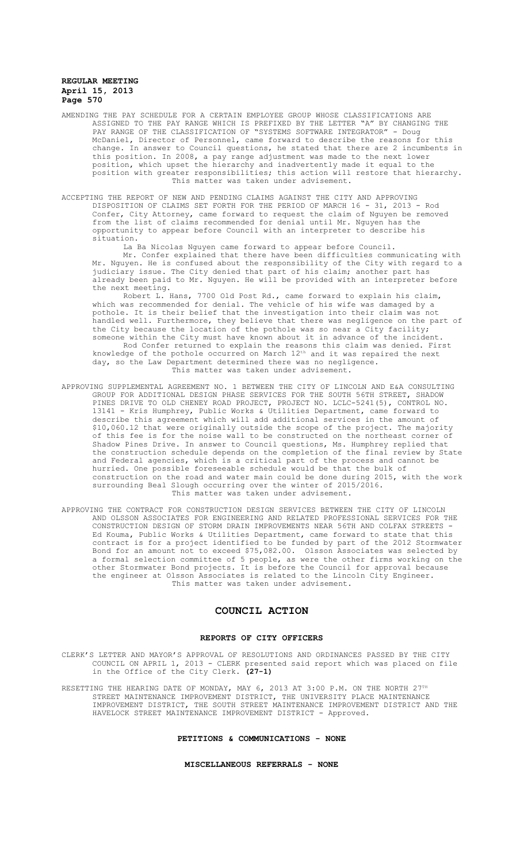- AMENDING THE PAY SCHEDULE FOR A CERTAIN EMPLOYEE GROUP WHOSE CLASSIFICATIONS ARE ASSIGNED TO THE PAY RANGE WHICH IS PREFIXED BY THE LETTER "A" BY CHANGING THE PAY RANGE OF THE CLASSIFICATION OF "SYSTEMS SOFTWARE INTEGRATOR" - Doug McDaniel, Director of Personnel, came forward to describe the reasons for this change. In answer to Council questions, he stated that there are 2 incumbents in this position. In 2008, a pay range adjustment was made to the next lower position, which upset the hierarchy and inadvertently made it equal to the position with greater responsibilities; this action will restore that hierarchy. This matter was taken under advisement.
- ACCEPTING THE REPORT OF NEW AND PENDING CLAIMS AGAINST THE CITY AND APPROVING DISPOSITION OF CLAIMS SET FORTH FOR THE PERIOD OF MARCH 16 - 31, 2013 - Rod Confer, City Attorney, came forward to request the claim of Nguyen be removed from the list of claims recommended for denial until Mr. Nguyen has the opportunity to appear before Council with an interpreter to describe his situation.

La Ba Nicolas Nguyen came forward to appear before Council. Mr. Confer explained that there have been difficulties communicating with Mr. Nguyen. He is confused about the responsibility of the City with regard to a judiciary issue. The City denied that part of his claim; another part has already been paid to Mr. Nguyen. He will be provided with an interpreter before the next meeting.

Robert L. Hans, 7700 Old Post Rd., came forward to explain his claim, which was recommended for denial. The vehicle of his wife was damaged by a pothole. It is their belief that the investigation into their claim was not handled well. Furthermore, they believe that there was negligence on the part of the City because the location of the pothole was so near a City facility; someone within the City must have known about it in advance of the incident. Rod Confer returned to explain the reasons this claim was denied. First knowledge of the pothole occurred on March 12th and it was repaired the next day, so the Law Department determined there was no negligence. This matter was taken under advisement.

- APPROVING SUPPLEMENTAL AGREEMENT NO. 1 BETWEEN THE CITY OF LINCOLN AND E&A CONSULTING GROUP FOR ADDITIONAL DESIGN PHASE SERVICES FOR THE SOUTH 56TH STREET, SHADOW PINES DRIVE TO OLD CHENEY ROAD PROJECT, PROJECT NO. LCLC-5241(5), CONTROL NO. 13141 - Kris Humphrey, Public Works & Utilities Department, came forward to describe this agreement which will add additional services in the amount of \$10,060.12 that were originally outside the scope of the project. The majority of this fee is for the noise wall to be constructed on the northeast corner of Shadow Pines Drive. In answer to Council questions, Ms. Humphrey replied that the construction schedule depends on the completion of the final review by State and Federal agencies, which is a critical part of the process and cannot be hurried. One possible foreseeable schedule would be that the bulk of construction on the road and water main could be done during 2015, with the work surrounding Beal Slough occurring over the winter of 2015/2016. This matter was taken under advisement.
- APPROVING THE CONTRACT FOR CONSTRUCTION DESIGN SERVICES BETWEEN THE CITY OF LINCOLN AND OLSSON ASSOCIATES FOR ENGINEERING AND RELATED PROFESSIONAL SERVICES FOR THE CONSTRUCTION DESIGN OF STORM DRAIN IMPROVEMENTS NEAR 56TH AND COLFAX STREETS Ed Kouma, Public Works & Utilities Department, came forward to state that this contract is for a project identified to be funded by part of the 2012 Stormwater Bond for an amount not to exceed \$75,082.00. Olsson Associates was selected by a formal selection committee of 5 people, as were the other firms working on the other Stormwater Bond projects. It is before the Council for approval because the engineer at Olsson Associates is related to the Lincoln City Engineer. This matter was taken under advisement.

# **COUNCIL ACTION**

### **REPORTS OF CITY OFFICERS**

CLERK'S LETTER AND MAYOR'S APPROVAL OF RESOLUTIONS AND ORDINANCES PASSED BY THE CITY COUNCIL ON APRIL 1, 2013 - CLERK presented said report which was placed on file in the Office of the City Clerk. **(27-1)**

RESETTING THE HEARING DATE OF MONDAY, MAY 6, 2013 AT 3:00 P.M. ON THE NORTH 27TH STREET MAINTENANCE IMPROVEMENT DISTRICT, THE UNIVERSITY PLACE MAINTENANCE IMPROVEMENT DISTRICT, THE SOUTH STREET MAINTENANCE IMPROVEMENT DISTRICT AND THE HAVELOCK STREET MAINTENANCE IMPROVEMENT DISTRICT - Approved.

## **PETITIONS & COMMUNICATIONS - NONE**

#### **MISCELLANEOUS REFERRALS - NONE**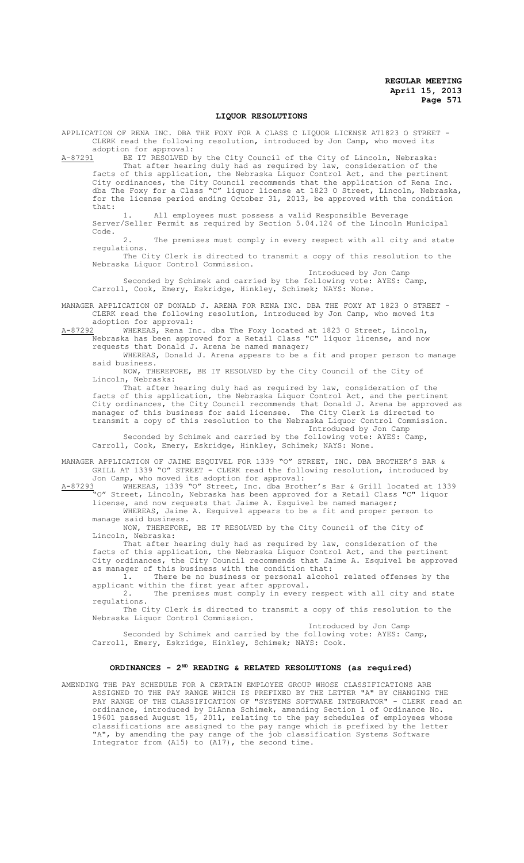### **LIQUOR RESOLUTIONS**

APPLICATION OF RENA INC. DBA THE FOXY FOR A CLASS C LIQUOR LICENSE AT1823 O STREET - CLERK read the following resolution, introduced by Jon Camp, who moved its adoption for approval:<br>A-87291 BE IT RESOLVED b

BE IT RESOLVED by the City Council of the City of Lincoln, Nebraska: That after hearing duly had as required by law, consideration of the facts of this application, the Nebraska Liquor Control Act, and the pertinent City ordinances, the City Council recommends that the application of Rena Inc. dba The Foxy for a Class "C" liquor license at 1823 O Street, Lincoln, Nebraska, for the license period ending October 31, 2013, be approved with the condition that:

1. All employees must possess a valid Responsible Beverage Server/Seller Permit as required by Section 5.04.124 of the Lincoln Municipal Code.

The premises must comply in every respect with all city and state regulations.

The City Clerk is directed to transmit a copy of this resolution to the Nebraska Liquor Control Commission.

Introduced by Jon Camp Seconded by Schimek and carried by the following vote: AYES: Camp, Carroll, Cook, Emery, Eskridge, Hinkley, Schimek; NAYS: None.

MANAGER APPLICATION OF DONALD J. ARENA FOR RENA INC. DBA THE FOXY AT 1823 O STREET - CLERK read the following resolution, introduced by Jon Camp, who moved its

adoption for approval:<br>A-87292 WHEREAS, Rena In A-87292 WHEREAS, Rena Inc. dba The Foxy located at 1823 O Street, Lincoln, Nebraska has been approved for a Retail Class "C" liquor license, and now requests that Donald J. Arena be named manager;

WHEREAS, Donald J. Arena appears to be a fit and proper person to manage said business.

NOW, THEREFORE, BE IT RESOLVED by the City Council of the City of Lincoln, Nebraska:

That after hearing duly had as required by law, consideration of the facts of this application, the Nebraska Liquor Control Act, and the pertinent City ordinances, the City Council recommends that Donald J. Arena be approved as manager of this business for said licensee. The City Clerk is directed to transmit a copy of this resolution to the Nebraska Liquor Control Commission. Introduced by Jon Camp

Seconded by Schimek and carried by the following vote: AYES: Camp, Carroll, Cook, Emery, Eskridge, Hinkley, Schimek; NAYS: None.

MANAGER APPLICATION OF JAIME ESQUIVEL FOR 1339 "O" STREET, INC. DBA BROTHER'S BAR & GRILL AT 1339 "O" STREET - CLERK read the following resolution, introduced by Jon Camp, who moved its adoption for approval:

A-87293 WHEREAS, 1339 "O" Street, Inc. dba Brother's Bar & Grill located at 1339 A-87293 WHEREAS, 1339 "O" Street, Inc. dba Brotner's par & Gill Ilass "C" liquor<br>"O" Street, Lincoln, Nebraska has been approved for a Retail Class "C" liquor license, and now requests that Jaime A. Esquivel be named manager;

WHEREAS, Jaime A. Esquivel appears to be a fit and proper person to manage said business.

NOW, THEREFORE, BE IT RESOLVED by the City Council of the City of Lincoln, Nebraska:

That after hearing duly had as required by law, consideration of the facts of this application, the Nebraska Liquor Control Act, and the pertinent City ordinances, the City Council recommends that Jaime A. Esquivel be approved as manager of this business with the condition that:

1. There be no business or personal alcohol related offenses by the applicant within the first year after approval.

2. The premises must comply in every respect with all city and state regulations.

The City Clerk is directed to transmit a copy of this resolution to the Nebraska Liquor Control Commission. Introduced by Jon Camp

Seconded by Schimek and carried by the following vote: AYES: Camp, Carroll, Emery, Eskridge, Hinkley, Schimek; NAYS: Cook.

## **ORDINANCES - 2ND READING & RELATED RESOLUTIONS (as required)**

AMENDING THE PAY SCHEDULE FOR A CERTAIN EMPLOYEE GROUP WHOSE CLASSIFICATIONS ARE ASSIGNED TO THE PAY RANGE WHICH IS PREFIXED BY THE LETTER "A" BY CHANGING THE PAY RANGE OF THE CLASSIFICATION OF "SYSTEMS SOFTWARE INTEGRATOR" - CLERK read an ordinance, introduced by DiAnna Schimek, amending Section 1 of Ordinance No. 19601 passed August 15, 2011, relating to the pay schedules of employees whose classifications are assigned to the pay range which is prefixed by the letter "A", by amending the pay range of the job classification Systems Software Integrator from (A15) to (A17), the second time.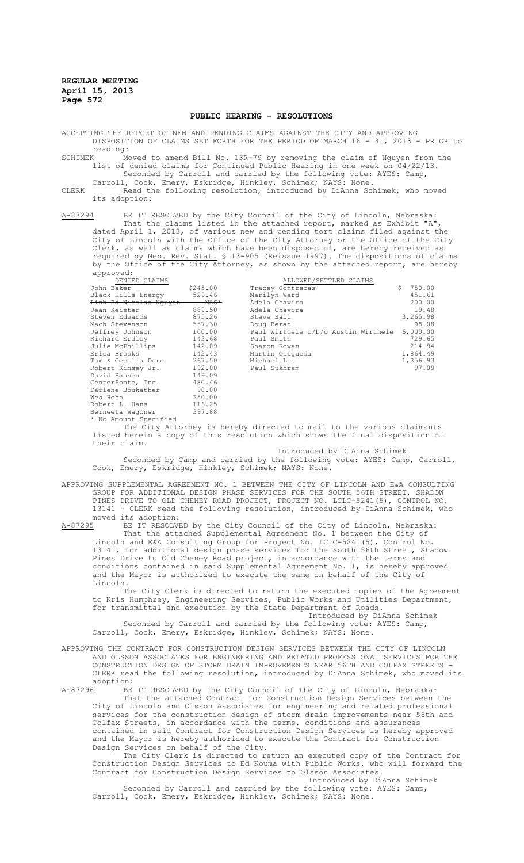### **PUBLIC HEARING - RESOLUTIONS**

ACCEPTING THE REPORT OF NEW AND PENDING CLAIMS AGAINST THE CITY AND APPROVING DISPOSITION OF CLAIMS SET FORTH FOR THE PERIOD OF MARCH 16 - 31, 2013 - PRIOR to

reading:<br>SCHIMEK Mo Moved to amend Bill No. 13R-79 by removing the claim of Nguyen from the list of denied claims for Continued Public Hearing in one week on 04/22/13. Seconded by Carroll and carried by the following vote: AYES: Camp,

Carroll, Cook, Emery, Eskridge, Hinkley, Schimek; NAYS: None.

CLERK Read the following resolution, introduced by DiAnna Schimek, who moved its adoption:

A-87294 BE IT RESOLVED by the City Council of the City of Lincoln, Nebraska: That the claims listed in the attached report, marked as Exhibit "A", dated April 1, 2013, of various new and pending tort claims filed against the City of Lincoln with the Office of the City Attorney or the Office of the City Clerk, as well as claims which have been disposed of, are hereby received as required by Neb. Rev. Stat. § 13-905 (Reissue 1997). The dispositions of claims by the Office of the City Attorney, as shown by the attached report, are hereby approved:

| DENIED CLAIMS          |                                                                       |  | ALLOWED/SETTLED CLAIMS              |  |  |  |    |          |  |
|------------------------|-----------------------------------------------------------------------|--|-------------------------------------|--|--|--|----|----------|--|
| John Baker             | \$245.00                                                              |  | Tracey Contreras                    |  |  |  | Ŝ. | 750.00   |  |
| Black Hills Energy     | 529.46                                                                |  | Marilyn Ward                        |  |  |  |    | 451.61   |  |
| Linh Ba Nicolas Nguyen | $\n  NAS$                                                             |  | Adela Chavira                       |  |  |  |    | 200.00   |  |
| Jean Keister           | 889.50                                                                |  | Adela Chavira                       |  |  |  |    | 19.48    |  |
| Steven Edwards         | 875.26                                                                |  | Steve Sall                          |  |  |  |    | 3,265.98 |  |
| Mach Stevenson         | 557.30                                                                |  | Doug Beran                          |  |  |  |    | 98.08    |  |
| Jeffrey Johnson        | 100.00                                                                |  | Paul Wirthele o/b/o Austin Wirthele |  |  |  |    | 6.000.00 |  |
| Richard Erdley         | 143.68                                                                |  | Paul Smith                          |  |  |  |    | 729.65   |  |
| Julie McPhillips       | 142.09                                                                |  | Sharon Rowan                        |  |  |  |    | 214.94   |  |
| Erica Brooks           | 142.43                                                                |  | Martin Ocegueda                     |  |  |  |    | 1,864.49 |  |
| Tom & Cecilia Dorn     | 267.50                                                                |  | Michael Lee                         |  |  |  |    | 1,356.93 |  |
| Robert Kinsey Jr.      | 192.00                                                                |  | Paul Sukhram                        |  |  |  |    | 97.09    |  |
| David Hansen           | 149.09                                                                |  |                                     |  |  |  |    |          |  |
| CenterPonte, Inc.      | 480.46                                                                |  |                                     |  |  |  |    |          |  |
| Darlene Boukather      | 90.00                                                                 |  |                                     |  |  |  |    |          |  |
| Wes Hehn               | 250.00                                                                |  |                                     |  |  |  |    |          |  |
| Robert L. Hans         | 116.25                                                                |  |                                     |  |  |  |    |          |  |
| Berneeta Waqoner       | 397.88                                                                |  |                                     |  |  |  |    |          |  |
| * No Amount Specified  |                                                                       |  |                                     |  |  |  |    |          |  |
|                        | The City Attorney is hereby directed to mail to the various claimants |  |                                     |  |  |  |    |          |  |
|                        |                                                                       |  |                                     |  |  |  |    |          |  |

listed herein a copy of this resolution which shows the final disposition of their claim.

## Introduced by DiAnna Schimek

Seconded by Camp and carried by the following vote: AYES: Camp, Carroll, Cook, Emery, Eskridge, Hinkley, Schimek; NAYS: None.

APPROVING SUPPLEMENTAL AGREEMENT NO. 1 BETWEEN THE CITY OF LINCOLN AND E&A CONSULTING

GROUP FOR ADDITIONAL DESIGN PHASE SERVICES FOR THE SOUTH 56TH STREET, SHADOW PINES DRIVE TO OLD CHENEY ROAD PROJECT, PROJECT NO. LCLC-5241(5), CONTROL NO. 13141 - CLERK read the following resolution, introduced by DiAnna Schimek, who

moved its adoption:<br>A-87295 BE IT RESOLVE BE IT RESOLVED by the City Council of the City of Lincoln, Nebraska: That the attached Supplemental Agreement No. 1 between the City of Lincoln and E&A Consulting Group for Project No. LCLC-5241(5), Control No. 13141, for additional design phase services for the South 56th Street, Shadow Pines Drive to Old Cheney Road project, in accordance with the terms and conditions contained in said Supplemental Agreement No. 1, is hereby approved and the Mayor is authorized to execute the same on behalf of the City of Lincoln.

The City Clerk is directed to return the executed copies of the Agreement to Kris Humphrey, Engineering Services, Public Works and Utilities Department, for transmittal and execution by the State Department of Roads.

Introduced by DiAnna Schimek

Seconded by Carroll and carried by the following vote: AYES: Camp, Carroll, Cook, Emery, Eskridge, Hinkley, Schimek; NAYS: None.

APPROVING THE CONTRACT FOR CONSTRUCTION DESIGN SERVICES BETWEEN THE CITY OF LINCOLN AND OLSSON ASSOCIATES FOR ENGINEERING AND RELATED PROFESSIONAL SERVICES FOR THE CONSTRUCTION DESIGN OF STORM DRAIN IMPROVEMENTS NEAR 56TH AND COLFAX STREETS - CLERK read the following resolution, introduced by DiAnna Schimek, who moved its adoption:<br>A-87296 BE

BE IT RESOLVED by the City Council of the City of Lincoln, Nebraska: That the attached Contract for Construction Design Services between the City of Lincoln and Olsson Associates for engineering and related professional services for the construction design of storm drain improvements near 56th and Colfax Streets, in accordance with the terms, conditions and assurances contained in said Contract for Construction Design Services is hereby approved and the Mayor is hereby authorized to execute the Contract for Construction Design Services on behalf of the City.

The City Clerk is directed to return an executed copy of the Contract for Construction Design Services to Ed Kouma with Public Works, who will forward the Contract for Construction Design Services to Olsson Associates. Introduced by DiAnna Schimek

Seconded by Carroll and carried by the following vote: AYES: Camp, Carroll, Cook, Emery, Eskridge, Hinkley, Schimek; NAYS: None.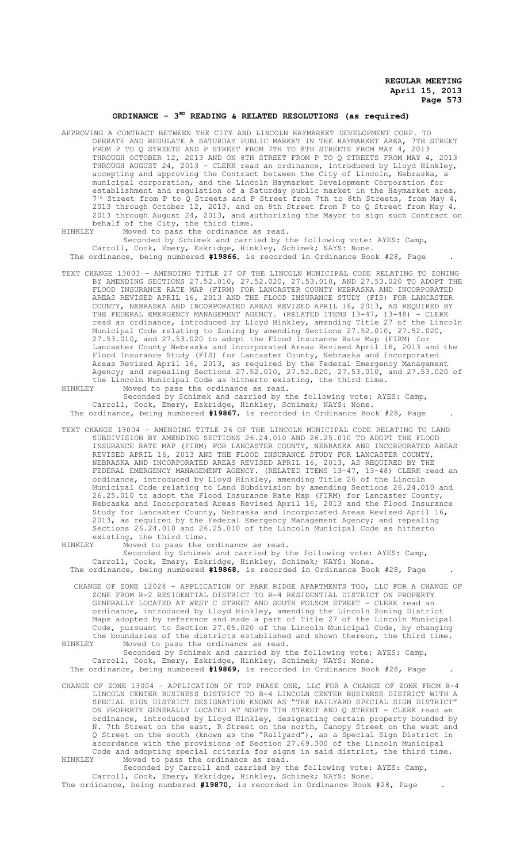## ORDINANCE - 3<sup>RD</sup> READING & RELATED RESOLUTIONS (as required)

APPROVING A CONTRACT BETWEEN THE CITY AND LINCOLN HAYMARKET DEVELOPMENT CORP. TO OPERATE AND REGULATE A SATURDAY PUBLIC MARKET IN THE HAYMARKET AREA, 7TH STREET FROM P TO Q STREETS AND P STREET FROM 7TH TO 8TH STREETS FROM MAY 4, 2013 THROUGH OCTOBER 12, 2013 AND ON 8TH STREET FROM P TO Q STREETS FROM MAY 4, 2013 THROUGH AUGUST 24, 2013 - CLERK read an ordinance, introduced by Lloyd Hinkley, accepting and approving the Contract between the City of Lincoln, Nebraska, a municipal corporation, and the Lincoln Haymarket Development Corporation for establishment and regulation of a Saturday public market in the Haymarket area, 7<sup>th</sup> Street from P to Q Streets and P Street from 7th to 8th Streets, from May 4, 2013 through October 12, 2013, and on 8th Street from P to Q Street from May 4, 2013 through August 24, 2013, and authorizing the Mayor to sign such Contract on behalf of the City, the third time.<br>HINKLEY Moved to pass the ordinance

Moved to pass the ordinance as read.

Seconded by Schimek and carried by the following vote: AYES: Camp, Carroll, Cook, Emery, Eskridge, Hinkley, Schimek; NAYS: None. The ordinance, being numbered **#19866**, is recorded in Ordinance Book #28, Page .

TEXT CHANGE 13003 – AMENDING TITLE 27 OF THE LINCOLN MUNICIPAL CODE RELATING TO ZONING BY AMENDING SECTIONS 27.52.010, 27.52.020, 27.53.010, AND 27.53.020 TO ADOPT THE FLOOD INSURANCE RATE MAP (FIRM) FOR LANCASTER COUNTY NEBRASKA AND INCORPORATED AREAS REVISED APRIL 16, 2013 AND THE FLOOD INSURANCE STUDY (FIS) FOR LANCASTER COUNTY, NEBRASKA AND INCORPORATED AREAS REVISED APRIL 16, 2013, AS REQUIRED BY THE FEDERAL EMERGENCY MANAGEMENT AGENCY. (RELATED ITEMS 13-47, 13-48) - CLERK read an ordinance, introduced by Lloyd Hinkley, amending Title 27 of the Lincoln Municipal Code relating to Zoning by amending Sections 27.52.010, 27.52.020, 27.53.010, and 27.53.020 to adopt the Flood Insurance Rate Map (FIRM) for Lancaster County Nebraska and Incorporated Areas Revised April 16, 2013 and the Flood Insurance Study (FIS) for Lancaster County, Nebraska and Incorporated Areas Revised April 16, 2013, as required by the Federal Emergency Management Agency; and repealing Sections 27.52.010, 27.52.020, 27.53.010, and 27.53.020 of the Lincoln Municipal Code as hitherto existing, the third time.

HINKLEY Moved to pass the ordinance as read.

Seconded by Schimek and carried by the following vote: AYES: Camp, Carroll, Cook, Emery, Eskridge, Hinkley, Schimek; NAYS: None. The ordinance, being numbered **#19867**, is recorded in Ordinance Book #28, Page .

TEXT CHANGE 13004 – AMENDING TITLE 26 OF THE LINCOLN MUNICIPAL CODE RELATING TO LAND SUBDIVISION BY AMENDING SECTIONS 26.24.010 AND 26.25.010 TO ADOPT THE FLOOD INSURANCE RATE MAP (FIRM) FOR LANCASTER COUNTY, NEBRASKA AND INCORPORATED AREAS REVISED APRIL 16, 2013 AND THE FLOOD INSURANCE STUDY FOR LANCASTER COUNTY, NEBRASKA AND INCORPORATED AREAS REVISED APRIL 16, 2013, AS REQUIRED BY THE FEDERAL EMERGENCY MANAGEMENT AGENCY. (RELATED ITEMS 13-47, 13-48) CLERK read an ordinance, introduced by Lloyd Hinkley, amending Title 26 of the Lincoln Municipal Code relating to Land Subdivision by amending Sections 26.24.010 and 26.25.010 to adopt the Flood Insurance Rate Map (FIRM) for Lancaster County, Nebraska and Incorporated Areas Revised April 16, 2013 and the Flood Insurance Study for Lancaster County, Nebraska and Incorporated Areas Revised April 16, 2013, as required by the Federal Emergency Management Agency; and repealing Sections 26.24.010 and 26.25.010 of the Lincoln Municipal Code as hitherto existing, the third time.<br>HINKLEY Moved to pass the

Moved to pass the ordinance as read.

Seconded by Schimek and carried by the following vote: AYES: Camp, Carroll, Cook, Emery, Eskridge, Hinkley, Schimek; NAYS: None. The ordinance, being numbered **#19868**, is recorded in Ordinance Book #28, Page .

CHANGE OF ZONE 12028 – APPLICATION OF PARK RIDGE APARTMENTS TOO, LLC FOR A CHANGE OF ZONE FROM R-2 RESIDENTIAL DISTRICT TO R-4 RESIDENTIAL DISTRICT ON PROPERTY GENERALLY LOCATED AT WEST C STREET AND SOUTH FOLSOM STREET - CLERK read an ordinance, introduced by Lloyd Hinkley, amending the Lincoln Zoning District Maps adopted by reference and made a part of Title 27 of the Lincoln Municipal Code, pursuant to Section 27.05.020 of the Lincoln Municipal Code, by changing the boundaries of the districts established and shown thereon, the third time.<br>HINKLEY Moved to pass the ordinance as read.

Moved to pass the ordinance as read. Seconded by Schimek and carried by the following vote: AYES: Camp, Carroll, Cook, Emery, Eskridge, Hinkley, Schimek; NAYS: None. The ordinance, being numbered **#19869**, is recorded in Ordinance Book #28, Page .

CHANGE OF ZONE 13004 – APPLICATION OF TDP PHASE ONE, LLC FOR A CHANGE OF ZONE FROM B-4 LINCOLN CENTER BUSINESS DISTRICT TO B-4 LINCOLN CENTER BUSINESS DISTRICT WITH A SPECIAL SIGN DISTRICT DESIGNATION KNOWN AS "THE RAILYARD SPECIAL SIGN DISTRICT" ON PROPERTY GENERALLY LOCATED AT NORTH 7TH STREET AND Q STREET - CLERK read an ordinance, introduced by Lloyd Hinkley, designating certain property bounded by N. 7th Street on the east, R Street on the north, Canopy Street on the west and Q Street on the south (known as the "Railyard"), as a Special Sign District in accordance with the provisions of Section 27.69.300 of the Lincoln Municipal Code and adopting special criteria for signs in said district, the third time.<br>HINKLEY Moved to pass the ordinance as read. Moved to pass the ordinance as read.

Seconded by Carroll and carried by the following vote: AYES: Camp, Carroll, Cook, Emery, Eskridge, Hinkley, Schimek; NAYS: None. The ordinance, being numbered **#19870**, is recorded in Ordinance Book #28, Page .